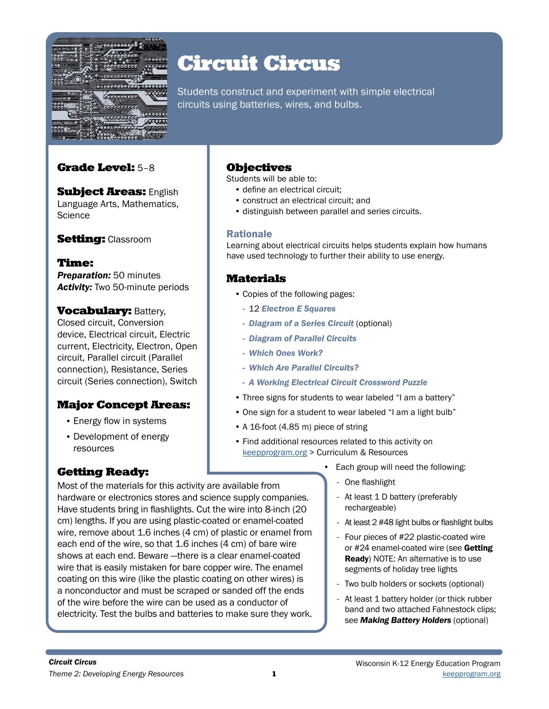

# Circuit Circus

Students construct and experiment with simple electrical circuits using batteries, wires, and bulbs.

## Grade Level: 5–8

**Subject Areas: English** Language Arts, Mathematics, **Science** 

## **Setting: Classroom**

## Time:

*Preparation:* 50 minutes *Activity:* Two 50-minute periods

**Vocabulary: Battery,** Closed circuit, Conversion device, Electrical circuit, Electric current, Electricity, Electron, Open circuit, Parallel circuit (Parallel connection), Resistance, Series circuit (Series connection), Switch

## Major Concept Areas:

- Energy flow in systems
- Development of energy resources

Most of the materials for this activity are available from

each end of the wire, so that 1.6 inches (4 cm) of bare wire shows at each end. Beware —there is a clear enamel-coated wire that is easily mistaken for bare copper wire. The enamel coating on this wire (like the plastic coating on other wires) is a nonconductor and must be scraped or sanded off the ends of the wire before the wire can be used as a conductor of electricity. Test the bulbs and batteries to make sure they work.

# Getting Ready:

## **Objectives**

Students will be able to:

- define an electrical circuit;
- construct an electrical circuit; and
- distinguish between parallel and series circuits.

### Rationale

Learning about electrical circuits helps students explain how humans have used technology to further their ability to use energy.

## Materials

- Copies of the following pages:
	- 12 *Electron E Squares*
	- *Diagram of a Series Circuit* (optional)
	- *Diagram of Parallel Circuits*
	- *Which Ones Work?*
	- *Which Are Parallel Circuits?*
	- *A Working Electrical Circuit Crossword Puzzle*
- Three signs for students to wear labeled "I am a battery"
- One sign for a student to wear labeled "I am a light bulb"
- A 16-foot (4.85 m) piece of string
- Find additional resources related to this activity on keepprogram.org > Curriculum & Resources
	- Each group will need the following:
		- One flashlight
- hardware or electronics stores and science supply companies. Have students bring in flashlights. Cut the wire into 8-inch (20 cm) lengths. If you are using plastic-coated or enamel-coated wire, remove about 1.6 inches (4 cm) of plastic or enamel from - At least 1 D battery (preferably rechargeable) - At least 2 #48 light bulbs or flashlight bulbs
	- Four pieces of #22 plastic-coated wire or #24 enamel-coated wire (see Getting Ready) NOTE: An alternative is to use segments of holiday tree lights
	- Two bulb holders or sockets (optional)
	- At least 1 battery holder (or thick rubber band and two attached Fahnestock clips; see *Making Battery Holders* (optional)

*Circuit Circus*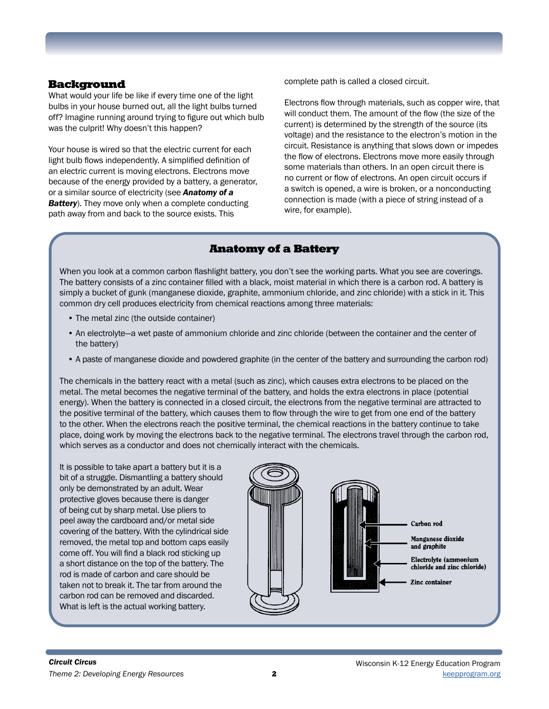#### Background

What would your life be like if every time one of the light bulbs in your house burned out, all the light bulbs turned off? Imagine running around trying to figure out which bulb was the culprit! Why doesn't this happen?

Your house is wired so that the electric current for each light bulb flows independently. A simplified definition of an electric current is moving electrons. Electrons move because of the energy provided by a battery, a generator, or a similar source of electricity (see *Anatomy of a Battery*). They move only when a complete conducting path away from and back to the source exists. This

complete path is called a closed circuit.

Electrons flow through materials, such as copper wire, that will conduct them. The amount of the flow (the size of the current) is determined by the strength of the source (its voltage) and the resistance to the electron's motion in the circuit. Resistance is anything that slows down or impedes the flow of electrons. Electrons move more easily through some materials than others. In an open circuit there is no current or flow of electrons. An open circuit occurs if a switch is opened, a wire is broken, or a nonconducting connection is made (with a piece of string instead of a wire, for example).

## Anatomy of a Battery

When you look at a common carbon flashlight battery, you don't see the working parts. What you see are coverings. The battery consists of a zinc container filled with a black, moist material in which there is a carbon rod. A battery is simply a bucket of gunk (manganese dioxide, graphite, ammonium chloride, and zinc chloride) with a stick in it. This common dry cell produces electricity from chemical reactions among three materials:

- The metal zinc (the outside container)
- An electrolyte—a wet paste of ammonium chloride and zinc chloride (between the container and the center of the battery)
- A paste of manganese dioxide and powdered graphite (in the center of the battery and surrounding the carbon rod)

The chemicals in the battery react with a metal (such as zinc), which causes extra electrons to be placed on the metal. The metal becomes the negative terminal of the battery, and holds the extra electrons in place (potential energy). When the battery is connected in a closed circuit, the electrons from the negative terminal are attracted to the positive terminal of the battery, which causes them to flow through the wire to get from one end of the battery to the other. When the electrons reach the positive terminal, the chemical reactions in the battery continue to take place, doing work by moving the electrons back to the negative terminal. The electrons travel through the carbon rod, which serves as a conductor and does not chemically interact with the chemicals.

It is possible to take apart a battery but it is a bit of a struggle. Dismantling a battery should only be demonstrated by an adult. Wear protective gloves because there is danger of being cut by sharp metal. Use pliers to peel away the cardboard and/or metal side covering of the battery. With the cylindrical side removed, the metal top and bottom caps easily come off. You will find a black rod sticking up a short distance on the top of the battery. The rod is made of carbon and care should be taken not to break it. The tar from around the carbon rod can be removed and discarded. What is left is the actual working battery.

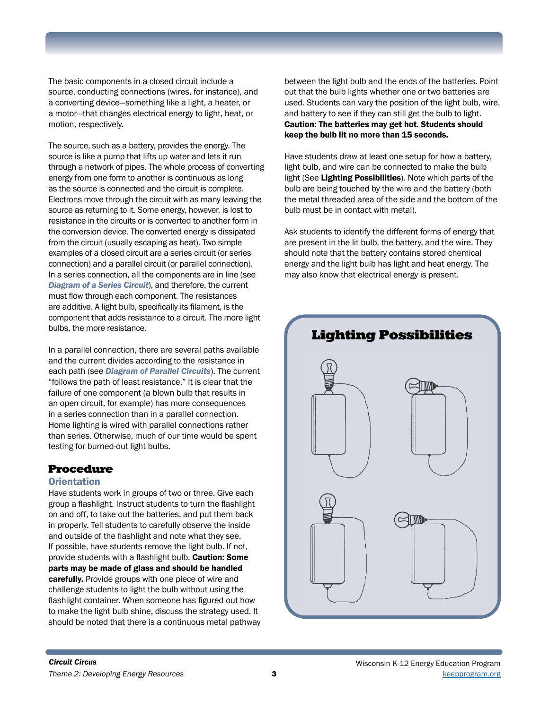The basic components in a closed circuit include a source, conducting connections (wires, for instance), and a converting device—something like a light, a heater, or a motor—that changes electrical energy to light, heat, or motion, respectively.

The source, such as a battery, provides the energy. The source is like a pump that lifts up water and lets it run through a network of pipes. The whole process of converting energy from one form to another is continuous as long as the source is connected and the circuit is complete. Electrons move through the circuit with as many leaving the source as returning to it. Some energy, however, is lost to resistance in the circuits or is converted to another form in the conversion device. The converted energy is dissipated from the circuit (usually escaping as heat). Two simple examples of a closed circuit are a series circuit (or series connection) and a parallel circuit (or parallel connection). In a series connection, all the components are in line (see *Diagram of a Series Circuit*), and therefore, the current must flow through each component. The resistances are additive. A light bulb, specifically its filament, is the component that adds resistance to a circuit. The more light bulbs, the more resistance.

In a parallel connection, there are several paths available and the current divides according to the resistance in each path (see *Diagram of Parallel Circuits*). The current "follows the path of least resistance." It is clear that the failure of one component (a blown bulb that results in an open circuit, for example) has more consequences in a series connection than in a parallel connection. Home lighting is wired with parallel connections rather than series. Otherwise, much of our time would be spent testing for burned-out light bulbs.

## Procedure

#### **Orientation**

Have students work in groups of two or three. Give each group a flashlight. Instruct students to turn the flashlight on and off, to take out the batteries, and put them back in properly. Tell students to carefully observe the inside and outside of the flashlight and note what they see. If possible, have students remove the light bulb. If not, provide students with a flashlight bulb. Caution: Some parts may be made of glass and should be handled carefully. Provide groups with one piece of wire and challenge students to light the bulb without using the flashlight container. When someone has figured out how to make the light bulb shine, discuss the strategy used. It should be noted that there is a continuous metal pathway

between the light bulb and the ends of the batteries. Point out that the bulb lights whether one or two batteries are used. Students can vary the position of the light bulb, wire, and battery to see if they can still get the bulb to light. Caution: The batteries may get hot. Students should keep the bulb lit no more than 15 seconds.

Have students draw at least one setup for how a battery, light bulb, and wire can be connected to make the bulb light (See Lighting Possibilities). Note which parts of the bulb are being touched by the wire and the battery (both the metal threaded area of the side and the bottom of the bulb must be in contact with metal).

Ask students to identify the different forms of energy that are present in the lit bulb, the battery, and the wire. They should note that the battery contains stored chemical energy and the light bulb has light and heat energy. The may also know that electrical energy is present.

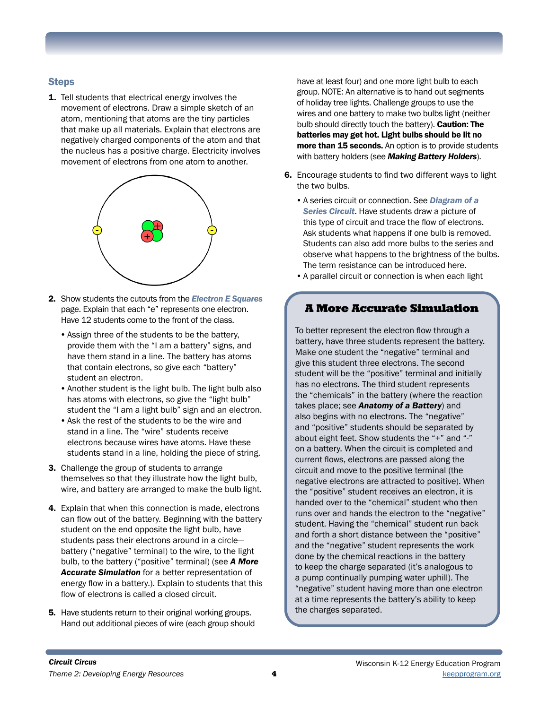### **Steps**

1. Tell students that electrical energy involves the movement of electrons. Draw a simple sketch of an atom, mentioning that atoms are the tiny particles that make up all materials. Explain that electrons are negatively charged components of the atom and that the nucleus has a positive charge. Electricity involves movement of electrons from one atom to another.



- 2. Show students the cutouts from the *Electron E Squares*  page. Explain that each "e" represents one electron. Have 12 students come to the front of the class.
	- •Assign three of the students to be the battery, provide them with the "I am a battery" signs, and have them stand in a line. The battery has atoms that contain electrons, so give each "battery" student an electron.
	- •Another student is the light bulb. The light bulb also has atoms with electrons, so give the "light bulb" student the "I am a light bulb" sign and an electron.
	- •Ask the rest of the students to be the wire and stand in a line. The "wire" students receive electrons because wires have atoms. Have these students stand in a line, holding the piece of string.
- 3. Challenge the group of students to arrange themselves so that they illustrate how the light bulb, wire, and battery are arranged to make the bulb light.
- 4. Explain that when this connection is made, electrons can flow out of the battery. Beginning with the battery student on the end opposite the light bulb, have students pass their electrons around in a circle battery ("negative" terminal) to the wire, to the light bulb, to the battery ("positive" terminal) (see *A More Accurate Simulation* for a better representation of energy flow in a battery.). Explain to students that this flow of electrons is called a closed circuit.
- **5.** Have students return to their original working groups. Hand out additional pieces of wire (each group should

have at least four) and one more light bulb to each group. NOTE: An alternative is to hand out segments of holiday tree lights. Challenge groups to use the wires and one battery to make two bulbs light (neither bulb should directly touch the battery). Caution: The batteries may get hot. Light bulbs should be lit no more than 15 seconds. An option is to provide students with battery holders (see *Making Battery Holders*).

- 6. Encourage students to find two different ways to light the two bulbs.
	- •A series circuit or connection. See *Diagram of a Series Circuit*. Have students draw a picture of this type of circuit and trace the flow of electrons. Ask students what happens if one bulb is removed. Students can also add more bulbs to the series and observe what happens to the brightness of the bulbs. The term resistance can be introduced here.
	- •A parallel circuit or connection is when each light

### A More Accurate Simulation

To better represent the electron flow through a battery, have three students represent the battery. Make one student the "negative" terminal and give this student three electrons. The second student will be the "positive" terminal and initially has no electrons. The third student represents the "chemicals" in the battery (where the reaction takes place; see *Anatomy of a Battery*) and also begins with no electrons. The "negative" and "positive" students should be separated by about eight feet. Show students the "+" and "-" on a battery. When the circuit is completed and current flows, electrons are passed along the circuit and move to the positive terminal (the negative electrons are attracted to positive). When the "positive" student receives an electron, it is handed over to the "chemical" student who then runs over and hands the electron to the "negative" student. Having the "chemical" student run back and forth a short distance between the "positive" and the "negative" student represents the work done by the chemical reactions in the battery to keep the charge separated (it's analogous to a pump continually pumping water uphill). The "negative" student having more than one electron at a time represents the battery's ability to keep the charges separated.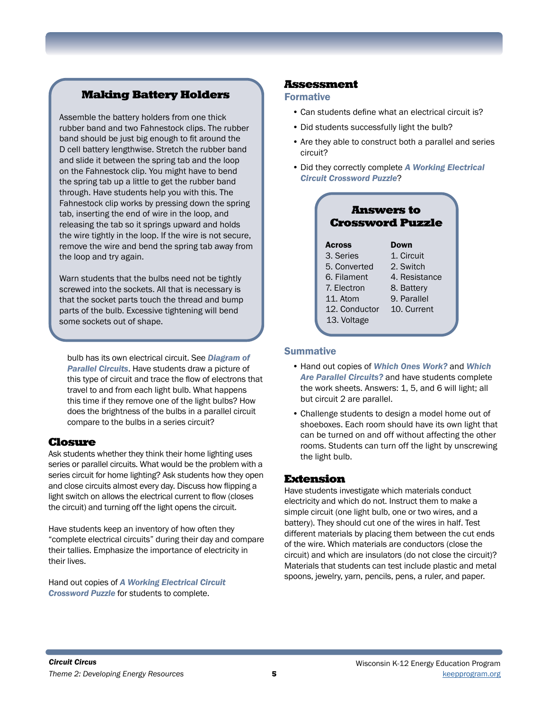## Making Battery Holders

Assemble the battery holders from one thick rubber band and two Fahnestock clips. The rubber band should be just big enough to fit around the D cell battery lengthwise. Stretch the rubber band and slide it between the spring tab and the loop on the Fahnestock clip. You might have to bend the spring tab up a little to get the rubber band through. Have students help you with this. The Fahnestock clip works by pressing down the spring tab, inserting the end of wire in the loop, and releasing the tab so it springs upward and holds the wire tightly in the loop. If the wire is not secure, remove the wire and bend the spring tab away from the loop and try again.

Warn students that the bulbs need not be tightly screwed into the sockets. All that is necessary is that the socket parts touch the thread and bump parts of the bulb. Excessive tightening will bend some sockets out of shape.

bulb has its own electrical circuit. See *Diagram of Parallel Circuits*. Have students draw a picture of this type of circuit and trace the flow of electrons that travel to and from each light bulb. What happens this time if they remove one of the light bulbs? How does the brightness of the bulbs in a parallel circuit compare to the bulbs in a series circuit?

#### Closure

Ask students whether they think their home lighting uses series or parallel circuits. What would be the problem with a series circuit for home lighting? Ask students how they open and close circuits almost every day. Discuss how flipping a light switch on allows the electrical current to flow (closes the circuit) and turning off the light opens the circuit.

Have students keep an inventory of how often they "complete electrical circuits" during their day and compare their tallies. Emphasize the importance of electricity in their lives.

Hand out copies of *A Working Electrical Circuit Crossword Puzzle* for students to complete.

#### Assessment

#### Formative

- Can students define what an electrical circuit is?
- Did students successfully light the bulb?
- Are they able to construct both a parallel and series circuit?
- Did they correctly complete *A Working Electrical Circuit Crossword Puzzle*?

| <b>Answers to</b><br><b>Crossword Puzzle</b> |               |
|----------------------------------------------|---------------|
| <b>Across</b>                                | Down          |
| 3. Series                                    | 1. Circuit    |
| 5. Converted                                 | 2. Switch     |
| 6. Filament                                  | 4. Resistance |
| 7. Electron                                  | 8. Battery    |
| 11. Atom                                     | 9. Parallel   |
| 12. Conductor                                | 10. Current   |
| 13. Voltage                                  |               |

#### **Summative**

- Hand out copies of *Which Ones Work?* and *Which Are Parallel Circuits?* and have students complete the work sheets. Answers: 1, 5, and 6 will light; all but circuit 2 are parallel.
- Challenge students to design a model home out of shoeboxes. Each room should have its own light that can be turned on and off without affecting the other rooms. Students can turn off the light by unscrewing the light bulb.

#### Extension

Have students investigate which materials conduct electricity and which do not. Instruct them to make a simple circuit (one light bulb, one or two wires, and a battery). They should cut one of the wires in half. Test different materials by placing them between the cut ends of the wire. Which materials are conductors (close the circuit) and which are insulators (do not close the circuit)? Materials that students can test include plastic and metal spoons, jewelry, yarn, pencils, pens, a ruler, and paper.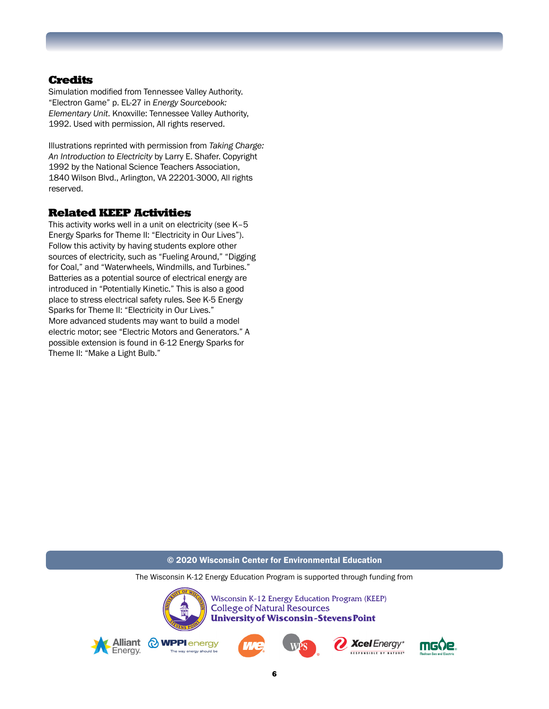### **Credits**

Simulation modified from Tennessee Valley Authority. "Electron Game" p. EL-27 in *Energy Sourcebook: Elementary Unit*. Knoxville: Tennessee Valley Authority, 1992. Used with permission, All rights reserved.

Illustrations reprinted with permission from *Taking Charge: An Introduction to Electricity* by Larry E. Shafer. Copyright 1992 by the National Science Teachers Association, 1840 Wilson Blvd., Arlington, VA 22201-3000, All rights reserved.

#### Related KEEP Activities

This activity works well in a unit on electricity (see K–5 Energy Sparks for Theme II: "Electricity in Our Lives"). Follow this activity by having students explore other sources of electricity, such as "Fueling Around," "Digging for Coal," and "Waterwheels, Windmills, and Turbines." Batteries as a potential source of electrical energy are introduced in "Potentially Kinetic." This is also a good place to stress electrical safety rules. See K-5 Energy Sparks for Theme II: "Electricity in Our Lives." More advanced students may want to build a model electric motor; see "Electric Motors and Generators." A possible extension is found in 6-12 Energy Sparks for Theme II: "Make a Light Bulb."

#### © 2020 Wisconsin Center for Environmental Education

The Wisconsin K-12 Energy Education Program is supported through funding from



Wisconsin K-12 Energy Education Program (KEEP) **College of Natural Resources University of Wisconsin-Stevens Point** 









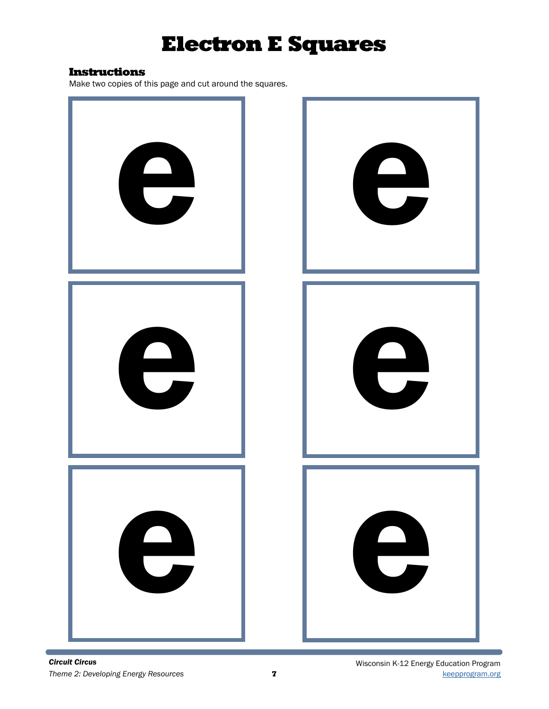# Electron E Squares

#### Instructions

Make two copies of this page and cut around the squares.

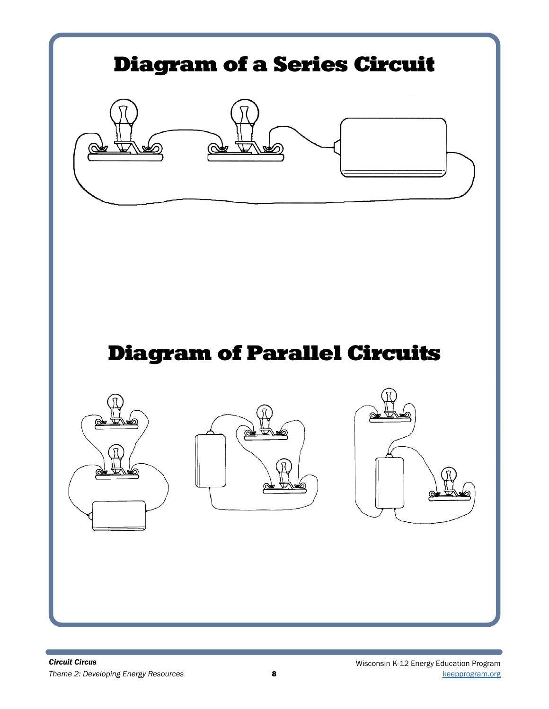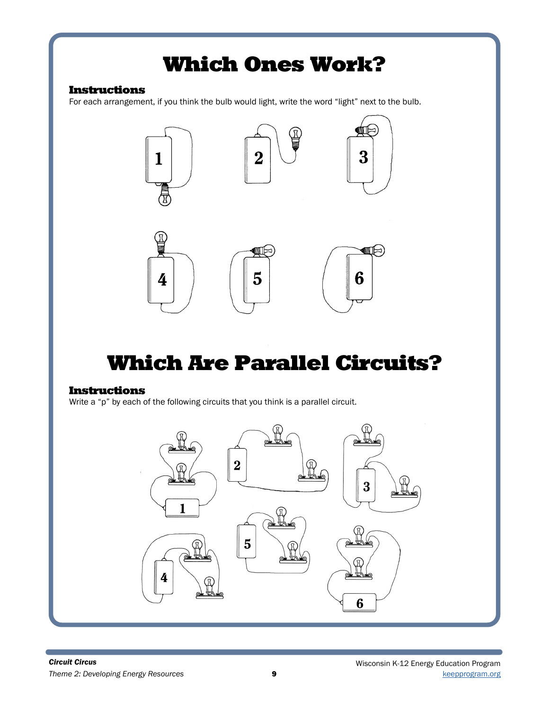# Which Ones Work?

## Instructions

For each arrangement, if you think the bulb would light, write the word "light" next to the bulb.



# Which Are Parallel Circuits?

### Instructions

Write a "p" by each of the following circuits that you think is a parallel circuit.